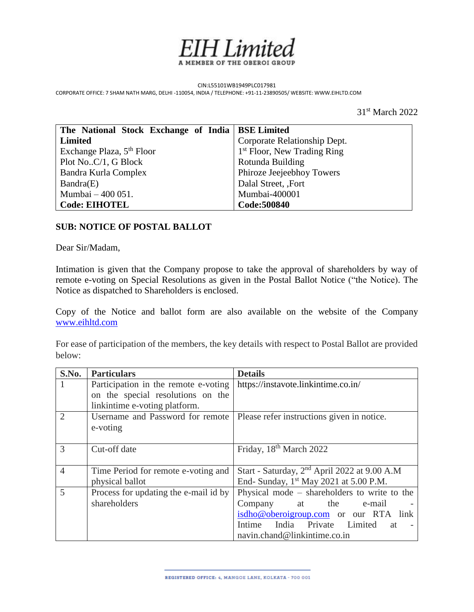

CIN:L55101WB1949PLC017981 CORPORATE OFFICE: 7 SHAM NATH MARG, DELHI -110054, INDIA / TELEPHONE: +91-11-23890505/ WEBSITE: WWW.EIHLTD.COM

31st March 2022

| The National Stock Exchange of India   BSE Limited |                                         |
|----------------------------------------------------|-----------------------------------------|
| Limited                                            | Corporate Relationship Dept.            |
| Exchange Plaza, 5 <sup>th</sup> Floor              | 1 <sup>st</sup> Floor, New Trading Ring |
| Plot NoC/1, G Block                                | Rotunda Building                        |
| Bandra Kurla Complex                               | Phiroze Jeejeebhoy Towers               |
| Bandra(E)                                          | Dalal Street, ,Fort                     |
| Mumbai – 400 051.                                  | Mumbai-400001                           |
| <b>Code: EIHOTEL</b>                               | Code:500840                             |

### **SUB: NOTICE OF POSTAL BALLOT**

Dear Sir/Madam,

Intimation is given that the Company propose to take the approval of shareholders by way of remote e-voting on Special Resolutions as given in the Postal Ballot Notice ("the Notice). The Notice as dispatched to Shareholders is enclosed.

Copy of the Notice and ballot form are also available on the website of the Company [www.eihltd.com](http://www.eihltd.com/)

For ease of participation of the members, the key details with respect to Postal Ballot are provided below:

| S.No.          | <b>Particulars</b>                    | <b>Details</b>                                           |
|----------------|---------------------------------------|----------------------------------------------------------|
|                | Participation in the remote e-voting  | https://instavote.linkintime.co.in/                      |
|                | on the special resolutions on the     |                                                          |
|                | linkintime e-voting platform.         |                                                          |
| $\overline{2}$ | Username and Password for remote      | Please refer instructions given in notice.               |
|                | e-voting                              |                                                          |
|                |                                       |                                                          |
| $\mathcal{R}$  | Cut-off date                          | Friday, 18 <sup>th</sup> March 2022                      |
|                |                                       |                                                          |
| $\overline{4}$ | Time Period for remote e-voting and   | Start - Saturday, 2 <sup>nd</sup> April 2022 at 9.00 A.M |
|                | physical ballot                       | End- Sunday, 1 <sup>st</sup> May 2021 at 5.00 P.M.       |
| 5              | Process for updating the e-mail id by | Physical mode – shareholders to write to the             |
|                | shareholders                          | the<br>Company at<br>e-mail                              |
|                |                                       | isdho@oberoigroup.com or our RTA link                    |
|                |                                       | Intime India Private Limited at                          |
|                |                                       | navin.chand@linkintime.co.in                             |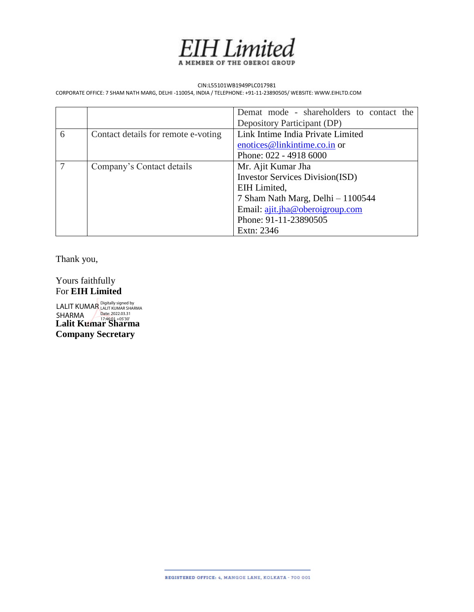

#### CIN:L55101WB1949PLC017981

CORPORATE OFFICE: 7 SHAM NATH MARG, DELHI -110054, INDIA / TELEPHONE: +91-11-23890505/ WEBSITE: WWW.EIHLTD.COM

|   |                                     | Demat mode - shareholders to contact the |  |
|---|-------------------------------------|------------------------------------------|--|
|   |                                     | Depository Participant (DP)              |  |
| 6 | Contact details for remote e-voting | Link Intime India Private Limited        |  |
|   |                                     | enotices@linkintime.co.in or             |  |
|   |                                     | Phone: 022 - 4918 6000                   |  |
| 7 | Company's Contact details           | Mr. Ajit Kumar Jha                       |  |
|   |                                     | <b>Investor Services Division(ISD)</b>   |  |
|   |                                     | EIH Limited,                             |  |
|   |                                     | 7 Sham Nath Marg, Delhi - 1100544        |  |
|   |                                     | Email: ajit.jha@oberoigroup.com          |  |
|   |                                     | Phone: 91-11-23890505                    |  |
|   |                                     | Extn: 2346                               |  |

Thank you,

Yours faithfully For **EIH Limited**

**Lalit Kumar Sharma Company Secretary** LALIT KUMAR SHARMA Digitally signed by<br>LALIT KUMAR SHARMA<br><mark>Date: 2</mark>022.03.31<br>17:46:01 +05'30'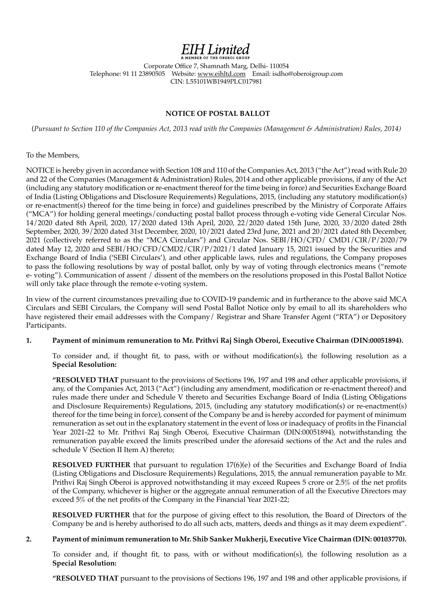# **EIH** Limited

Corporate Office 7, Shamnath Marg, Delhi- 110054 Telephone: 91 11 23890505 Website: www.eihltd.com Email: isdho@oberoigroup.com CIN: L55101WB1949PLC017981

#### **NOTICE OF POSTAL BALLOT**

(*Pursuant to Section 110 of the Companies Act, 2013 read with the Companies (Management & Administration) Rules, 2014)*

To the Members,

NOTICE is hereby given in accordance with Section 108 and 110 of the Companies Act, 2013 ("the Act") read with Rule 20 and 22 of the Companies (Management & Administration) Rules, 2014 and other applicable provisions, if any of the Act (including any statutory modification or re-enactment thereof for the time being in force) and Securities Exchange Board of India (Listing Obligations and Disclosure Requirements) Regulations, 2015, (including any statutory modification(s) or re-enactment(s) thereof for the time being in force) and guidelines prescribed by the Ministry of Corporate Affairs ("MCA") for holding general meetings/conducting postal ballot process through e-voting vide General Circular Nos. 14/2020 dated 8th April, 2020, 17/2020 dated 13th April, 2020, 22/2020 dated 15th June, 2020, 33/2020 dated 28th September, 2020, 39/2020 dated 31st December, 2020, 10/2021 dated 23rd June, 2021 and 20/2021 dated 8th December, 2021 (collectively referred to as the "MCA Circulars") and Circular Nos. SEBI/HO/CFD/ CMD1/CIR/P/2020/79 dated May 12, 2020 and SEBI/HO/CFD/CMD2/CIR/P/2021/1 dated January 15, 2021 issued by the Securities and Exchange Board of India ('SEBI Circulars'), and other applicable laws, rules and regulations, the Company proposes to pass the following resolutions by way of postal ballot, only by way of voting through electronics means ("remote e- voting"). Communication of assent / dissent of the members on the resolutions proposed in this Postal Ballot Notice will only take place through the remote e-voting system.

In view of the current circumstances prevailing due to COVID-19 pandemic and in furtherance to the above said MCA Circulars and SEBI Circulars, the Company will send Postal Ballot Notice only by email to all its shareholders who have registered their email addresses with the Company/ Registrar and Share Transfer Agent ("RTA") or Depository Participants.

#### **1. Payment of minimum remuneration to Mr. Prithvi Raj Singh Oberoi, Executive Chairman (DIN:00051894).**

To consider and, if thought fit, to pass, with or without modification(s), the following resolution as a **Special Resolution:**

**"RESOLVED THAT** pursuant to the provisions of Sections 196, 197 and 198 and other applicable provisions, if any, of the Companies Act, 2013 ("Act") (including any amendment, modification or re-enactment thereof) and rules made there under and Schedule V thereto and Securities Exchange Board of India (Listing Obligations and Disclosure Requirements) Regulations, 2015, (including any statutory modification(s) or re-enactment(s) thereof for the time being in force), consent of the Company be and is hereby accorded for payment of minimum remuneration as set out in the explanatory statement in the event of loss or inadequacy of profits in the Financial Year 2021-22 to Mr. Prithvi Raj Singh Oberoi, Executive Chairman (DIN:00051894), notwithstanding the remuneration payable exceed the limits prescribed under the aforesaid sections of the Act and the rules and schedule V (Section II Item A) thereto;

**RESOLVED FURTHER** that pursuant to regulation 17(6)(e) of the Securities and Exchange Board of India (Listing Obligations and Disclosure Requirements) Regulations, 2015, the annual remuneration payable to Mr. Prithvi Raj Singh Oberoi is approved notwithstanding it may exceed Rupees 5 crore or 2.5% of the net profits of the Company, whichever is higher or the aggregate annual remuneration of all the Executive Directors may exceed 5% of the net profits of the Company in the Financial Year 2021-22;

**RESOLVED FURTHER** that for the purpose of giving effect to this resolution, the Board of Directors of the Company be and is hereby authorised to do all such acts, matters, deeds and things as it may deem expedient".

#### **2. Payment of minimum remuneration to Mr. Shib Sanker Mukherji, Executive Vice Chairman (DIN: 00103770).**

To consider and, if thought fit, to pass, with or without modification(s), the following resolution as a **Special Resolution:**

**"RESOLVED THAT** pursuant to the provisions of Sections 196, 197 and 198 and other applicable provisions, if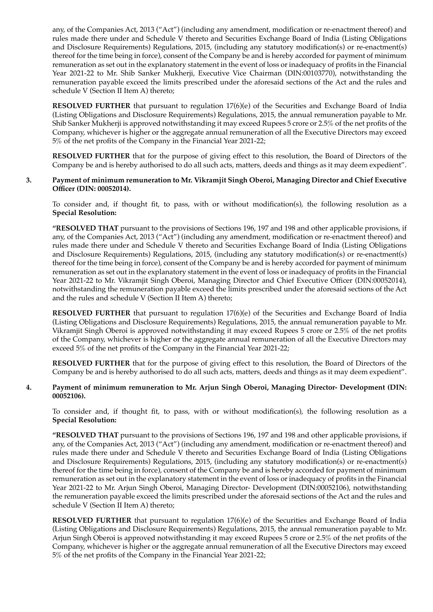any, of the Companies Act, 2013 ("Act") (including any amendment, modification or re-enactment thereof) and rules made there under and Schedule V thereto and Securities Exchange Board of India (Listing Obligations and Disclosure Requirements) Regulations, 2015, (including any statutory modification(s) or re-enactment(s) thereof for the time being in force), consent of the Company be and is hereby accorded for payment of minimum remuneration as set out in the explanatory statement in the event of loss or inadequacy of profits in the Financial Year 2021-22 to Mr. Shib Sanker Mukherji, Executive Vice Chairman (DIN:00103770), notwithstanding the remuneration payable exceed the limits prescribed under the aforesaid sections of the Act and the rules and schedule V (Section II Item A) thereto;

 **RESOLVED FURTHER** that pursuant to regulation 17(6)(e) of the Securities and Exchange Board of India (Listing Obligations and Disclosure Requirements) Regulations, 2015, the annual remuneration payable to Mr. Shib Sanker Mukherji is approved notwithstanding it may exceed Rupees 5 crore or 2.5% of the net profits of the Company, whichever is higher or the aggregate annual remuneration of all the Executive Directors may exceed 5% of the net profits of the Company in the Financial Year 2021-22;

 **RESOLVED FURTHER** that for the purpose of giving effect to this resolution, the Board of Directors of the Company be and is hereby authorised to do all such acts, matters, deeds and things as it may deem expedient".

#### **3. Payment of minimum remuneration to Mr. Vikramjit Singh Oberoi, Managing Director and Chief Executive Officer (DIN: 00052014).**

To consider and, if thought fit, to pass, with or without modification(s), the following resolution as a **Special Resolution:**

 **"RESOLVED THAT** pursuant to the provisions of Sections 196, 197 and 198 and other applicable provisions, if any, of the Companies Act, 2013 ("Act") (including any amendment, modification or re-enactment thereof) and rules made there under and Schedule V thereto and Securities Exchange Board of India (Listing Obligations and Disclosure Requirements) Regulations, 2015, (including any statutory modification(s) or re-enactment(s) thereof for the time being in force), consent of the Company be and is hereby accorded for payment of minimum remuneration as set out in the explanatory statement in the event of loss or inadequacy of profits in the Financial Year 2021-22 to Mr. Vikramjit Singh Oberoi, Managing Director and Chief Executive Officer (DIN:00052014), notwithstanding the remuneration payable exceed the limits prescribed under the aforesaid sections of the Act and the rules and schedule V (Section II Item A) thereto;

 **RESOLVED FURTHER** that pursuant to regulation 17(6)(e) of the Securities and Exchange Board of India (Listing Obligations and Disclosure Requirements) Regulations, 2015, the annual remuneration payable to Mr. Vikramjit Singh Oberoi is approved notwithstanding it may exceed Rupees 5 crore or 2.5% of the net profits of the Company, whichever is higher or the aggregate annual remuneration of all the Executive Directors may exceed 5% of the net profits of the Company in the Financial Year 2021-22;

 **RESOLVED FURTHER** that for the purpose of giving effect to this resolution, the Board of Directors of the Company be and is hereby authorised to do all such acts, matters, deeds and things as it may deem expedient".

#### **4. Payment of minimum remuneration to Mr. Arjun Singh Oberoi, Managing Director- Development (DIN: 00052106).**

To consider and, if thought fit, to pass, with or without modification(s), the following resolution as a **Special Resolution:**

 **"RESOLVED THAT** pursuant to the provisions of Sections 196, 197 and 198 and other applicable provisions, if any, of the Companies Act, 2013 ("Act") (including any amendment, modification or re-enactment thereof) and rules made there under and Schedule V thereto and Securities Exchange Board of India (Listing Obligations and Disclosure Requirements) Regulations, 2015, (including any statutory modification(s) or re-enactment(s) thereof for the time being in force), consent of the Company be and is hereby accorded for payment of minimum remuneration as set out in the explanatory statement in the event of loss or inadequacy of profits in the Financial Year 2021-22 to Mr. Arjun Singh Oberoi, Managing Director- Development (DIN:00052106), notwithstanding the remuneration payable exceed the limits prescribed under the aforesaid sections of the Act and the rules and schedule V (Section II Item A) thereto;

 **RESOLVED FURTHER** that pursuant to regulation 17(6)(e) of the Securities and Exchange Board of India (Listing Obligations and Disclosure Requirements) Regulations, 2015, the annual remuneration payable to Mr. Arjun Singh Oberoi is approved notwithstanding it may exceed Rupees 5 crore or 2.5% of the net profits of the Company, whichever is higher or the aggregate annual remuneration of all the Executive Directors may exceed 5% of the net profits of the Company in the Financial Year 2021-22;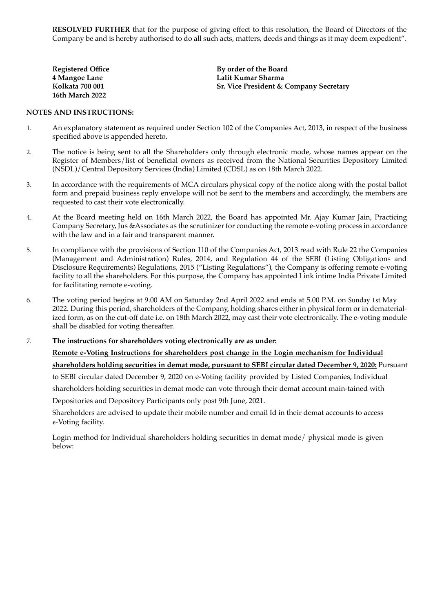**RESOLVED FURTHER** that for the purpose of giving effect to this resolution, the Board of Directors of the Company be and is hereby authorised to do all such acts, matters, deeds and things as it may deem expedient".

| <b>Registered Office</b> | By order of the Board                             |
|--------------------------|---------------------------------------------------|
| 4 Mangoe Lane            | Lalit Kumar Sharma                                |
| Kolkata 700 001          | <b>Sr. Vice President &amp; Company Secretary</b> |
| 16th March 2022          |                                                   |

#### **NOTES AND INSTRUCTIONS:**

- 1. An explanatory statement as required under Section 102 of the Companies Act, 2013, in respect of the business specified above is appended hereto.
- 2. The notice is being sent to all the Shareholders only through electronic mode, whose names appear on the Register of Members/list of beneficial owners as received from the National Securities Depository Limited (NSDL)/Central Depository Services (India) Limited (CDSL) as on 18th March 2022.
- 3. In accordance with the requirements of MCA circulars physical copy of the notice along with the postal ballot form and prepaid business reply envelope will not be sent to the members and accordingly, the members are requested to cast their vote electronically.
- 4. At the Board meeting held on 16th March 2022, the Board has appointed Mr. Ajay Kumar Jain, Practicing Company Secretary, Jus &Associates as the scrutinizer for conducting the remote e-voting process in accordance with the law and in a fair and transparent manner.
- 5. In compliance with the provisions of Section 110 of the Companies Act, 2013 read with Rule 22 the Companies (Management and Administration) Rules, 2014, and Regulation 44 of the SEBI (Listing Obligations and Disclosure Requirements) Regulations, 2015 ("Listing Regulations"), the Company is offering remote e-voting facility to all the shareholders. For this purpose, the Company has appointed Link intime India Private Limited for facilitating remote e-voting.
- 6. The voting period begins at 9.00 AM on Saturday 2nd April 2022 and ends at 5.00 P.M. on Sunday 1st May 2022. During this period, shareholders of the Company, holding shares either in physical form or in dematerialized form, as on the cut-off date i.e. on 18th March 2022, may cast their vote electronically. The e-voting module shall be disabled for voting thereafter.

7. **The instructions for shareholders voting electronically are as under:**

**Remote e-Voting Instructions for shareholders post change in the Login mechanism for Individual shareholders holding securities in demat mode, pursuant to SEBI circular dated December 9, 2020:** Pursuant to SEBI circular dated December 9, 2020 on e-Voting facility provided by Listed Companies, Individual shareholders holding securities in demat mode can vote through their demat account main-tained with Depositories and Depository Participants only post 9th June, 2021.

Shareholders are advised to update their mobile number and email Id in their demat accounts to access e-Voting facility.

Login method for Individual shareholders holding securities in demat mode/ physical mode is given below: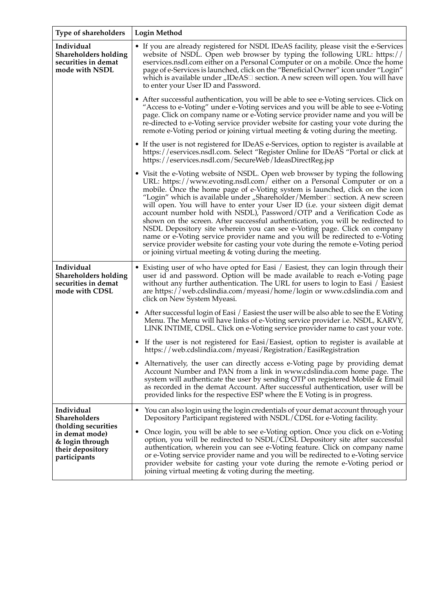| Type of shareholders                                                                                                       | <b>Login Method</b>                                                                                                                                                                                                                                                                                                                                                                                                                                                                                                                                                                                                                                                                                                                                                                                                                                                                           |  |
|----------------------------------------------------------------------------------------------------------------------------|-----------------------------------------------------------------------------------------------------------------------------------------------------------------------------------------------------------------------------------------------------------------------------------------------------------------------------------------------------------------------------------------------------------------------------------------------------------------------------------------------------------------------------------------------------------------------------------------------------------------------------------------------------------------------------------------------------------------------------------------------------------------------------------------------------------------------------------------------------------------------------------------------|--|
| Individual<br><b>Shareholders holding</b><br>securities in demat<br>mode with NSDL                                         | • If you are already registered for NSDL IDeAS facility, please visit the e-Services<br>website of NSDL. Open web browser by typing the following URL: https://<br>eservices.nsdl.com either on a Personal Computer or on a mobile. Once the home<br>page of e-Services is launched, click on the "Beneficial Owner" icon under "Login"<br>which is available under "IDeAS□ section. A new screen will open. You will have<br>to enter your User ID and Password.                                                                                                                                                                                                                                                                                                                                                                                                                             |  |
|                                                                                                                            | • After successful authentication, you will be able to see e-Voting services. Click on<br>"Access to e-Voting" under e-Voting services and you will be able to see e-Voting<br>page. Click on company name or e-Voting service provider name and you will be<br>re-directed to e-Voting service provider website for casting your vote during the<br>remote e-Voting period or joining virtual meeting $\&$ voting during the meeting.                                                                                                                                                                                                                                                                                                                                                                                                                                                        |  |
|                                                                                                                            | • If the user is not registered for IDeAS e-Services, option to register is available at<br>https://eservices.nsdl.com. Select "Register Online for IDeAS "Portal or click at<br>https://eservices.nsdl.com/SecureWeb/IdeasDirectReg.jsp                                                                                                                                                                                                                                                                                                                                                                                                                                                                                                                                                                                                                                                      |  |
|                                                                                                                            | • Visit the e-Voting website of NSDL. Open web browser by typing the following<br>URL: https://www.evoting.nsdl.com/ either on a Personal Computer or on a<br>mobile. Once the home page of e-Voting system is launched, click on the icon<br>"Login" which is available under "Shareholder/Member $\square$ section. A new screen<br>will open. You will have to enter your User ID (i.e. your sixteen digit demat<br>account number hold with NSDL), Password/OTP and a Verification Code as<br>shown on the screen. After successful authentication, you will be redirected to<br>NSDL Depository site wherein you can see e-Voting page. Click on company<br>name or e-Voting service provider name and you will be redirected to e-Voting<br>service provider website for casting your vote during the remote e-Voting period<br>or joining virtual meeting & voting during the meeting. |  |
| Individual<br><b>Shareholders holding</b><br>securities in demat<br>mode with CDSL                                         | • Existing user of who have opted for Easi / Easiest, they can login through their<br>user id and password. Option will be made available to reach e-Voting page<br>without any further authentication. The URL for users to login to Easi $/$ Easiest<br>are https://web.cdslindia.com/myeasi/home/login or www.cdslindia.com and<br>click on New System Myeasi.                                                                                                                                                                                                                                                                                                                                                                                                                                                                                                                             |  |
|                                                                                                                            | • After successful login of Easi / Easiest the user will be also able to see the E Voting<br>Menu. The Menu will have links of e-Voting service provider i.e. NSDL, KARVY,<br>LINK INTIME, CDSL. Click on e-Voting service provider name to cast your vote.                                                                                                                                                                                                                                                                                                                                                                                                                                                                                                                                                                                                                                   |  |
|                                                                                                                            | If the user is not registered for Easi/Easiest, option to register is available at<br>$\bullet$<br>https://web.cdslindia.com/myeasi/Registration/EasiRegistration                                                                                                                                                                                                                                                                                                                                                                                                                                                                                                                                                                                                                                                                                                                             |  |
|                                                                                                                            | • Alternatively, the user can directly access e-Voting page by providing demat<br>Account Number and PAN from a link in www.cdslindia.com home page. The<br>system will authenticate the user by sending OTP on registered Mobile & Email<br>as recorded in the demat Account. After successful authentication, user will be<br>provided links for the respective ESP where the E Voting is in progress.                                                                                                                                                                                                                                                                                                                                                                                                                                                                                      |  |
| Individual<br>Shareholders<br>(holding securities<br>in demat mode)<br>& login through<br>their depository<br>participants | You can also login using the login credentials of your demat account through your<br>٠<br>Depository Participant registered with NSDL/CDSL for e-Voting facility.<br>Once login, you will be able to see e-Voting option. Once you click on e-Voting<br>٠<br>option, you will be redirected to NSDL/CDSL Depository site after successful<br>authentication, wherein you can see e-Voting feature. Click on company name<br>or e-Voting service provider name and you will be redirected to e-Voting service<br>provider website for casting your vote during the remote e-Voting period or<br>joining virtual meeting & voting during the meeting.                                                                                                                                                                                                                                           |  |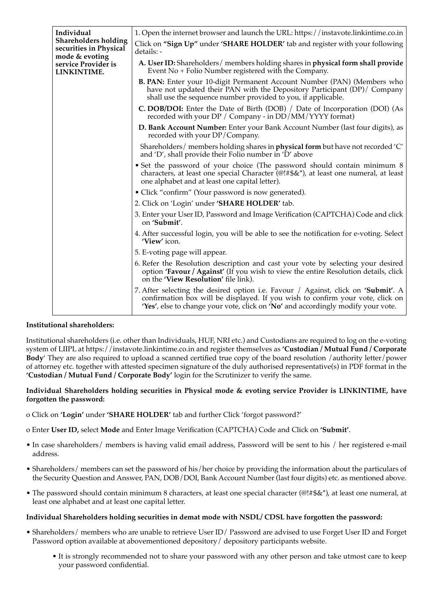| Individual                                                              | 1. Open the internet browser and launch the URL: https://instavote.linkintime.co.in                                                                                                                                                                                    |
|-------------------------------------------------------------------------|------------------------------------------------------------------------------------------------------------------------------------------------------------------------------------------------------------------------------------------------------------------------|
| <b>Shareholders holding</b><br>securities in Physical<br>mode & evoting | Click on "Sign Up" under 'SHARE HOLDER' tab and register with your following<br>details: -                                                                                                                                                                             |
| service Provider is<br>LINKINTIME.                                      | A. User ID: Shareholders/ members holding shares in physical form shall provide<br>Event $No + Folio$ Number registered with the Company.                                                                                                                              |
|                                                                         | <b>B. PAN:</b> Enter your 10-digit Permanent Account Number (PAN) (Members who<br>have not updated their PAN with the Depository Participant (DP)/ Company<br>shall use the sequence number provided to you, if applicable.                                            |
|                                                                         | <b>C. DOB/DOI:</b> Enter the Date of Birth (DOB) / Date of Incorporation (DOI) (As<br>recorded with your $DP / Comp$ any - in $DD / MM / YYY$ format)                                                                                                                  |
|                                                                         | D. Bank Account Number: Enter your Bank Account Number (last four digits), as<br>recorded with your DP/Company.                                                                                                                                                        |
|                                                                         | Shareholders/ members holding shares in <b>physical form</b> but have not recorded 'C'<br>and 'D', shall provide their Folio number in 'D' above                                                                                                                       |
|                                                                         | • Set the password of your choice (The password should contain minimum 8<br>characters, at least one special Character ( $@! \# \$\&^*$ ), at least one numeral, at least<br>one alphabet and at least one capital letter).                                            |
|                                                                         | • Click "confirm" (Your password is now generated).                                                                                                                                                                                                                    |
|                                                                         | 2. Click on 'Login' under 'SHARE HOLDER' tab.                                                                                                                                                                                                                          |
|                                                                         | 3. Enter your User ID, Password and Image Verification (CAPTCHA) Code and click<br>on 'Submit'.                                                                                                                                                                        |
|                                                                         | 4. After successful login, you will be able to see the notification for e-voting. Select<br>'View' icon.                                                                                                                                                               |
|                                                                         | 5. E-voting page will appear.                                                                                                                                                                                                                                          |
|                                                                         | 6. Refer the Resolution description and cast your vote by selecting your desired<br>option 'Favour / Against' (If you wish to view the entire Resolution details, click<br>on the 'View Resolution' file link).                                                        |
|                                                                         | 7. After selecting the desired option i.e. Favour / Against, click on 'Submit'. A<br>confirmation box will be displayed. If you wish to confirm your vote, click on<br><b>'Yes'</b> , else to change your vote, click on <b>'No'</b> and accordingly modify your vote. |

#### **Institutional shareholders:**

Institutional shareholders (i.e. other than Individuals, HUF, NRI etc.) and Custodians are required to log on the e-voting system of LIIPL at https://instavote.linkintime.co.in and register themselves as **'Custodian / Mutual Fund / Corporate Body**' They are also required to upload a scanned certified true copy of the board resolution /authority letter/power of attorney etc. together with attested specimen signature of the duly authorised representative(s) in PDF format in the **'Custodian / Mutual Fund / Corporate Body'** login for the Scrutinizer to verify the same.

#### **Individual Shareholders holding securities in Physical mode & evoting service Provider is LINKINTIME, have forgotten the password:**

- o Click on **'Login'** under **'SHARE HOLDER'** tab and further Click 'forgot password?'
- o Enter **User ID,** select **Mode** and Enter Image Verification (CAPTCHA) Code and Click on **'Submit'**.
- In case shareholders/ members is having valid email address, Password will be sent to his / her registered e-mail address.
- Shareholders/ members can set the password of his/her choice by providing the information about the particulars of the Security Question and Answer, PAN, DOB/DOI, Bank Account Number (last four digits) etc. as mentioned above.
- The password should contain minimum 8 characters, at least one special character (@!#\$&\*), at least one numeral, at least one alphabet and at least one capital letter.

#### **Individual Shareholders holding securities in demat mode with NSDL/ CDSL have forgotten the password:**

- Shareholders/ members who are unable to retrieve User ID/ Password are advised to use Forget User ID and Forget Password option available at abovementioned depository/ depository participants website.
	- It is strongly recommended not to share your password with any other person and take utmost care to keep your password confidential.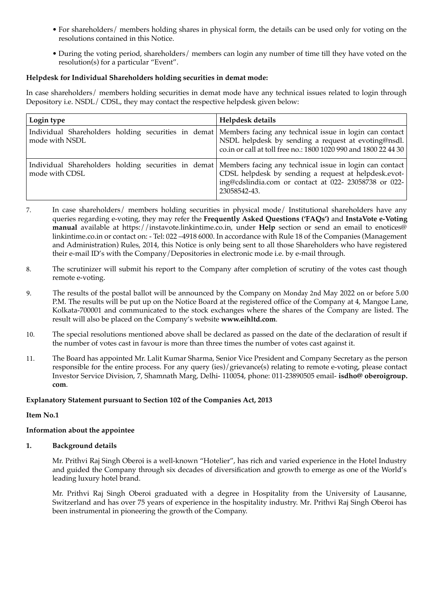- For shareholders/ members holding shares in physical form, the details can be used only for voting on the resolutions contained in this Notice.
- During the voting period, shareholders/ members can login any number of time till they have voted on the resolution(s) for a particular "Event".

#### **Helpdesk for Individual Shareholders holding securities in demat mode:**

In case shareholders/ members holding securities in demat mode have any technical issues related to login through Depository i.e. NSDL/ CDSL, they may contact the respective helpdesk given below:

| Login type     | Helpdesk details                                                                                                                                                                                                                             |
|----------------|----------------------------------------------------------------------------------------------------------------------------------------------------------------------------------------------------------------------------------------------|
| mode with NSDL | Individual Shareholders holding securities in demat Members facing any technical issue in login can contact<br>NSDL helpdesk by sending a request at evoting@nsdl.<br>co.in or call at toll free no.: 1800 1020 990 and 1800 22 44 30        |
| mode with CDSL | Individual Shareholders holding securities in demat Members facing any technical issue in login can contact<br>CDSL helpdesk by sending a request at helpdesk.evot-<br>ing@cdslindia.com or contact at 022- 23058738 or 022-<br>23058542-43. |

- 7. In case shareholders/ members holding securities in physical mode/ Institutional shareholders have any queries regarding e-voting, they may refer the **Frequently Asked Questions ('FAQs')** and **InstaVote e-Voting manual** available at https://instavote.linkintime.co.in, under **Help** section or send an email to enotices@ linkintime.co.in or contact on: - Tel: 022 –4918 6000. In accordance with Rule 18 of the Companies (Management and Administration) Rules, 2014, this Notice is only being sent to all those Shareholders who have registered their e-mail ID's with the Company/Depositories in electronic mode i.e. by e-mail through.
- 8. The scrutinizer will submit his report to the Company after completion of scrutiny of the votes cast though remote e-voting.
- 9. The results of the postal ballot will be announced by the Company on Monday 2nd May 2022 on or before 5.00 P.M. The results will be put up on the Notice Board at the registered office of the Company at 4, Mangoe Lane, Kolkata-700001 and communicated to the stock exchanges where the shares of the Company are listed. The result will also be placed on the Company's website **www.eihltd.com**.
- 10. The special resolutions mentioned above shall be declared as passed on the date of the declaration of result if the number of votes cast in favour is more than three times the number of votes cast against it.
- 11. The Board has appointed Mr. Lalit Kumar Sharma, Senior Vice President and Company Secretary as the person responsible for the entire process. For any query (ies)/grievance(s) relating to remote e-voting, please contact Investor Service Division, 7, Shamnath Marg, Delhi- 110054, phone: 011-23890505 email- **isdho@ oberoigroup. com**.

#### **Explanatory Statement pursuant to Section 102 of the Companies Act, 2013**

#### **Item No.1**

#### **Information about the appointee**

#### **1. Background details**

Mr. Prithvi Raj Singh Oberoi is a well-known "Hotelier", has rich and varied experience in the Hotel Industry and guided the Company through six decades of diversification and growth to emerge as one of the World's leading luxury hotel brand.

Mr. Prithvi Raj Singh Oberoi graduated with a degree in Hospitality from the University of Lausanne, Switzerland and has over 75 years of experience in the hospitality industry. Mr. Prithvi Raj Singh Oberoi has been instrumental in pioneering the growth of the Company.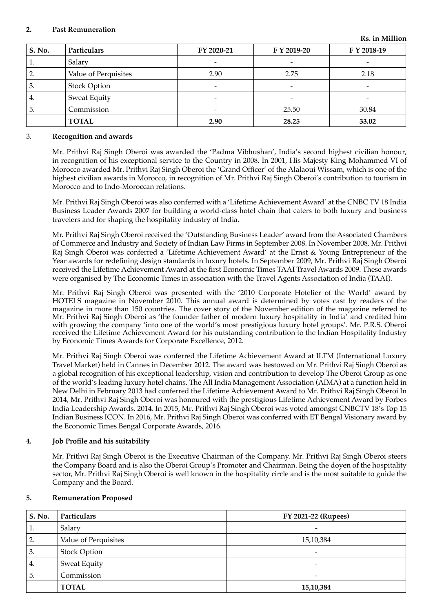#### **2. Past Remuneration**

| S. No.   | Particulars          | FY 2020-21               | F Y 2019-20              | F Y 2018-19 |
|----------|----------------------|--------------------------|--------------------------|-------------|
| <b>.</b> | Salary               | -                        |                          |             |
| 2.       | Value of Perquisites | 2.90                     | 2.75                     | 2.18        |
| 3.       | <b>Stock Option</b>  | $\overline{\phantom{a}}$ | $\overline{\phantom{0}}$ |             |
| 4.       | Sweat Equity         |                          |                          |             |
| 5.       | Commission           |                          | 25.50                    | 30.84       |
|          | <b>TOTAL</b>         | 2.90                     | 28.25                    | 33.02       |

#### 3. **Recognition and awards**

Mr. Prithvi Raj Singh Oberoi was awarded the 'Padma Vibhushan', India's second highest civilian honour, in recognition of his exceptional service to the Country in 2008. In 2001, His Majesty King Mohammed VI of Morocco awarded Mr. Prithvi Raj Singh Oberoi the 'Grand Officer' of the Alalaoui Wissam, which is one of the highest civilian awards in Morocco, in recognition of Mr. Prithvi Raj Singh Oberoi's contribution to tourism in Morocco and to Indo-Moroccan relations.

Mr. Prithvi Raj Singh Oberoi was also conferred with a 'Lifetime Achievement Award' at the CNBC TV 18 India Business Leader Awards 2007 for building a world-class hotel chain that caters to both luxury and business travelers and for shaping the hospitality industry of India.

Mr. Prithvi Raj Singh Oberoi received the 'Outstanding Business Leader' award from the Associated Chambers of Commerce and Industry and Society of Indian Law Firms in September 2008. In November 2008, Mr. Prithvi Raj Singh Oberoi was conferred a 'Lifetime Achievement Award' at the Ernst & Young Entrepreneur of the Year awards for redefining design standards in luxury hotels. In September 2009, Mr. Prithvi Raj Singh Oberoi received the Lifetime Achievement Award at the first Economic Times TAAI Travel Awards 2009. These awards were organised by The Economic Times in association with the Travel Agents Association of India (TAAI).

Mr. Prithvi Raj Singh Oberoi was presented with the '2010 Corporate Hotelier of the World' award by HOTELS magazine in November 2010. This annual award is determined by votes cast by readers of the magazine in more than 150 countries. The cover story of the November edition of the magazine referred to Mr. Prithvi Raj Singh Oberoi as 'the founder father of modern luxury hospitality in India' and credited him with growing the company 'into one of the world's most prestigious luxury hotel groups'. Mr. P.R.S. Oberoi received the Lifetime Achievement Award for his outstanding contribution to the Indian Hospitality Industry by Economic Times Awards for Corporate Excellence, 2012.

Mr. Prithvi Raj Singh Oberoi was conferred the Lifetime Achievement Award at ILTM (International Luxury Travel Market) held in Cannes in December 2012. The award was bestowed on Mr. Prithvi Raj Singh Oberoi as a global recognition of his exceptional leadership, vision and contribution to develop The Oberoi Group as one of the world's leading luxury hotel chains. The All India Management Association (AIMA) at a function held in New Delhi in February 2013 had conferred the Lifetime Achievement Award to Mr. Prithvi Raj Singh Oberoi In 2014, Mr. Prithvi Raj Singh Oberoi was honoured with the prestigious Lifetime Achievement Award by Forbes India Leadership Awards, 2014. In 2015, Mr. Prithvi Raj Singh Oberoi was voted amongst CNBCTV 18's Top 15 Indian Business ICON. In 2016, Mr. Prithvi Raj Singh Oberoi was conferred with ET Bengal Visionary award by the Economic Times Bengal Corporate Awards, 2016.

#### **4. Job Profile and his suitability**

Mr. Prithvi Raj Singh Oberoi is the Executive Chairman of the Company. Mr. Prithvi Raj Singh Oberoi steers the Company Board and is also the Oberoi Group's Promoter and Chairman. Being the doyen of the hospitality sector, Mr. Prithvi Raj Singh Oberoi is well known in the hospitality circle and is the most suitable to guide the Company and the Board.

#### **5. Remuneration Proposed**

| S. No. | Particulars          | FY 2021-22 (Rupees)      |
|--------|----------------------|--------------------------|
| ī.     | Salary               |                          |
| 2.     | Value of Perquisites | 15,10,384                |
| 3.     | <b>Stock Option</b>  | $\overline{\phantom{0}}$ |
| 4.     | <b>Sweat Equity</b>  | $\overline{\phantom{0}}$ |
| 5.     | Commission           | $\overline{\phantom{0}}$ |
|        | <b>TOTAL</b>         | 15,10,384                |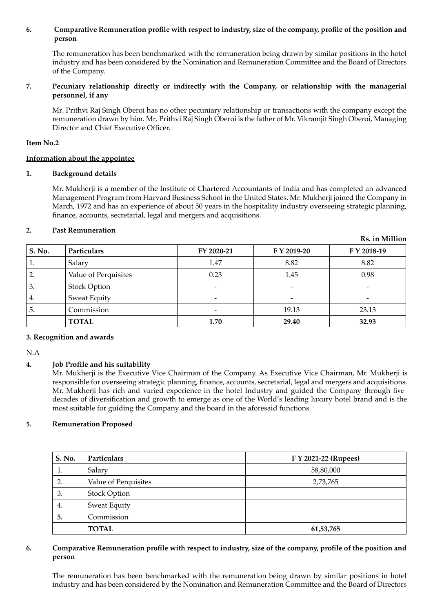#### **6. Comparative Remuneration profile with respect to industry, size of the company, profile of the position and person**

The remuneration has been benchmarked with the remuneration being drawn by similar positions in the hotel industry and has been considered by the Nomination and Remuneration Committee and the Board of Directors of the Company.

#### **7. Pecuniary relationship directly or indirectly with the Company, or relationship with the managerial personnel, if any**

Mr. Prithvi Raj Singh Oberoi has no other pecuniary relationship or transactions with the company except the remuneration drawn by him. Mr. Prithvi Raj Singh Oberoi is the father of Mr. Vikramjit Singh Oberoi, Managing Director and Chief Executive Officer.

#### **Item No.2**

#### **Information about the appointee**

#### **1. Background details**

Mr. Mukherji is a member of the Institute of Chartered Accountants of India and has completed an advanced Management Program from Harvard Business School in the United States. Mr. Mukherji joined the Company in March, 1972 and has an experience of about 50 years in the hospitality industry overseeing strategic planning, finance, accounts, secretarial, legal and mergers and acquisitions.

**Rs. in Million**

#### **2. Past Remuneration**

| S. No. | Particulars          | FY 2020-21               | F Y 2019-20 | F Y 2018-19 |
|--------|----------------------|--------------------------|-------------|-------------|
| 1.     | Salary               | 1.47                     | 8.82        | 8.82        |
| 2.     | Value of Perquisites | 0.23                     | 1.45        | 0.98        |
| 3.     | <b>Stock Option</b>  | $\overline{\phantom{0}}$ | -           |             |
| 4.     | <b>Sweat Equity</b>  | $\overline{\phantom{0}}$ |             |             |
| 5.     | Commission           |                          | 19.13       | 23.13       |
|        | <b>TOTAL</b>         | 1.70                     | 29.40       | 32.93       |

#### **3. Recognition and awards**

N.A

#### **4. Job Profile and his suitability**

Mr. Mukherji is the Executive Vice Chairman of the Company. As Executive Vice Chairman, Mr. Mukherji is responsible for overseeing strategic planning, finance, accounts, secretarial, legal and mergers and acquisitions. Mr. Mukherji has rich and varied experience in the hotel Industry and guided the Company through five decades of diversification and growth to emerge as one of the World's leading luxury hotel brand and is the most suitable for guiding the Company and the board in the aforesaid functions.

#### **5. Remuneration Proposed**

| S. No. | Particulars                      | F Y 2021-22 (Rupees) |  |
|--------|----------------------------------|----------------------|--|
| 1.     | Salary                           | 58,80,000            |  |
| 2.     | Value of Perquisites<br>2,73,765 |                      |  |
| 3.     | <b>Stock Option</b>              |                      |  |
| 4.     | Sweat Equity                     |                      |  |
| 5.     | Commission                       |                      |  |
|        | <b>TOTAL</b>                     | 61,53,765            |  |

#### **6. Comparative Remuneration profile with respect to industry, size of the company, profile of the position and person**

The remuneration has been benchmarked with the remuneration being drawn by similar positions in hotel industry and has been considered by the Nomination and Remuneration Committee and the Board of Directors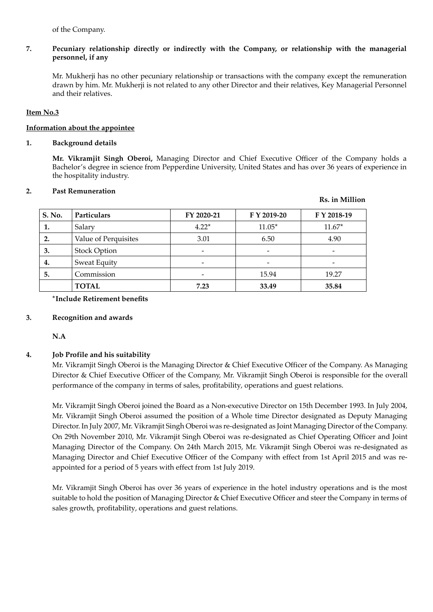of the Company.

#### **7. Pecuniary relationship directly or indirectly with the Company, or relationship with the managerial personnel, if any**

Mr. Mukherji has no other pecuniary relationship or transactions with the company except the remuneration drawn by him. Mr. Mukherji is not related to any other Director and their relatives, Key Managerial Personnel and their relatives.

#### **Item No.3**

#### **Information about the appointee**

#### **1. Background details**

**Mr. Vikramjit Singh Oberoi,** Managing Director and Chief Executive Officer of the Company holds a Bachelor's degree in science from Pepperdine University, United States and has over 36 years of experience in the hospitality industry.

#### **2. Past Remuneration**

## **Rs. in Million S. No. Particulars FY 2020-21 F Y 2019-20 F Y 2018-19 1.** Salary **11.67<sup>\*</sup> 11.67<sup>\*</sup> 11.67<sup>\*</sup> 11.67<sup>\*</sup> 11.67<sup>\*</sup> 2.** Value of Perquisites 1 3.01 6.50 4.90  **3.** Stock Option - - -  **4.** Sweat Equity - - - **5.** Commission **15.94** 19.27 **TOTAL 7.23 33.49 35.84**

#### **\*Include Retirement benefits**

#### **3. Recognition and awards**

**N.A**

#### **4. Job Profile and his suitability**

Mr. Vikramjit Singh Oberoi is the Managing Director & Chief Executive Officer of the Company. As Managing Director & Chief Executive Officer of the Company, Mr. Vikramjit Singh Oberoi is responsible for the overall performance of the company in terms of sales, profitability, operations and guest relations.

Mr. Vikramjit Singh Oberoi joined the Board as a Non-executive Director on 15th December 1993. In July 2004, Mr. Vikramjit Singh Oberoi assumed the position of a Whole time Director designated as Deputy Managing Director. In July 2007, Mr. Vikramjit Singh Oberoi was re-designated as Joint Managing Director of the Company. On 29th November 2010, Mr. Vikramjit Singh Oberoi was re-designated as Chief Operating Officer and Joint Managing Director of the Company. On 24th March 2015, Mr. Vikramjit Singh Oberoi was re-designated as Managing Director and Chief Executive Officer of the Company with effect from 1st April 2015 and was reappointed for a period of 5 years with effect from 1st July 2019.

Mr. Vikramjit Singh Oberoi has over 36 years of experience in the hotel industry operations and is the most suitable to hold the position of Managing Director & Chief Executive Officer and steer the Company in terms of sales growth, profitability, operations and guest relations.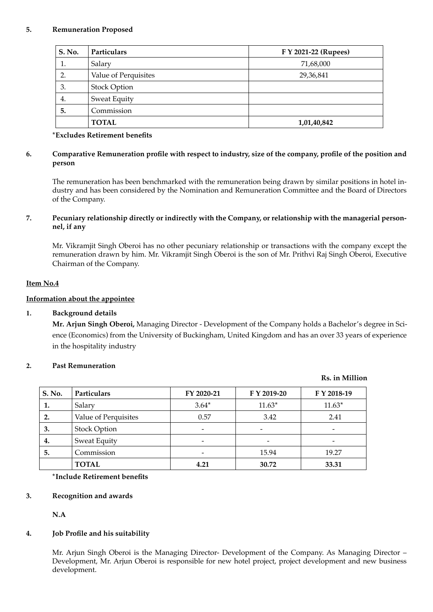#### **5. Remuneration Proposed**

| S. No. | Particulars          | F Y 2021-22 (Rupees) |  |  |
|--------|----------------------|----------------------|--|--|
| 1.     | Salary               | 71,68,000            |  |  |
| 2.     | Value of Perquisites | 29,36,841            |  |  |
| 3.     | <b>Stock Option</b>  |                      |  |  |
| 4.     | Sweat Equity         |                      |  |  |
| 5.     | Commission           |                      |  |  |
|        | <b>TOTAL</b>         | 1,01,40,842          |  |  |

#### **\*Excludes Retirement benefits**

#### **6. Comparative Remuneration profile with respect to industry, size of the company, profile of the position and person**

The remuneration has been benchmarked with the remuneration being drawn by similar positions in hotel industry and has been considered by the Nomination and Remuneration Committee and the Board of Directors of the Company.

#### **7. Pecuniary relationship directly or indirectly with the Company, or relationship with the managerial personnel, if any**

Mr. Vikramjit Singh Oberoi has no other pecuniary relationship or transactions with the company except the remuneration drawn by him. Mr. Vikramjit Singh Oberoi is the son of Mr. Prithvi Raj Singh Oberoi, Executive Chairman of the Company.

#### **Item No.4**

#### **Information about the appointee**

#### **1. Background details**

**Mr. Arjun Singh Oberoi,** Managing Director - Development of the Company holds a Bachelor's degree in Science (Economics) from the University of Buckingham, United Kingdom and has an over 33 years of experience in the hospitality industry

#### **2. Past Remuneration**

# **S. No. Particulars FY 2020-21 F Y 2019-20 F Y 2018-19 1.** Salary 3.64\* 11.63\* 11.63\* 11.63\* **2.** Value of Perquisites 0.57 3.42 2.41 **3.** Stock Option  $\qquad \qquad$  -  $\qquad \qquad$  -  $\qquad \qquad$  -  $\qquad \qquad$ **4.** Sweat Equity **-5.** Commission **15.94** 19.27 **TOTAL 4.21 30.72 33.31**

**\*Include Retirement benefits**

#### **3. Recognition and awards**

**N.A**

#### **4. Job Profile and his suitability**

Mr. Arjun Singh Oberoi is the Managing Director- Development of the Company. As Managing Director – Development, Mr. Arjun Oberoi is responsible for new hotel project, project development and new business development.

#### **Rs. in Million**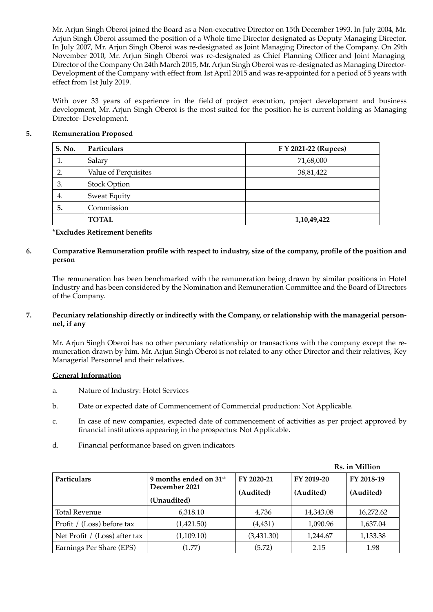Mr. Arjun Singh Oberoi joined the Board as a Non-executive Director on 15th December 1993. In July 2004, Mr. Arjun Singh Oberoi assumed the position of a Whole time Director designated as Deputy Managing Director. In July 2007, Mr. Arjun Singh Oberoi was re-designated as Joint Managing Director of the Company. On 29th November 2010, Mr. Arjun Singh Oberoi was re-designated as Chief Planning Officer and Joint Managing Director of the Company On 24th March 2015, Mr. Arjun Singh Oberoi was re-designated as Managing Director-Development of the Company with effect from 1st April 2015 and was re-appointed for a period of 5 years with effect from 1st July 2019.

With over 33 years of experience in the field of project execution, project development and business development, Mr. Arjun Singh Oberoi is the most suited for the position he is current holding as Managing Director- Development.

#### **5. Remuneration Proposed**

| S. No. | Particulars          | F Y 2021-22 (Rupees) |  |  |
|--------|----------------------|----------------------|--|--|
| 1.     | Salary               | 71,68,000            |  |  |
| 2.     | Value of Perquisites | 38,81,422            |  |  |
| 3.     | <b>Stock Option</b>  |                      |  |  |
| 4.     | Sweat Equity         |                      |  |  |
| 5.     | Commission           |                      |  |  |
|        | <b>TOTAL</b>         | 1,10,49,422          |  |  |

#### **\*Excludes Retirement benefits**

#### **6. Comparative Remuneration profile with respect to industry, size of the company, profile of the position and person**

The remuneration has been benchmarked with the remuneration being drawn by similar positions in Hotel Industry and has been considered by the Nomination and Remuneration Committee and the Board of Directors of the Company.

#### **7. Pecuniary relationship directly or indirectly with the Company, or relationship with the managerial personnel, if any**

Mr. Arjun Singh Oberoi has no other pecuniary relationship or transactions with the company except the remuneration drawn by him. Mr. Arjun Singh Oberoi is not related to any other Director and their relatives, Key Managerial Personnel and their relatives.

#### **General Information**

- a. Nature of Industry: Hotel Services
- b. Date or expected date of Commencement of Commercial production: Not Applicable.
- c. In case of new companies, expected date of commencement of activities as per project approved by financial institutions appearing in the prospectus: Not Applicable.
- d. Financial performance based on given indicators

|                                 |                                                     |            | Rs. in Million |            |  |
|---------------------------------|-----------------------------------------------------|------------|----------------|------------|--|
| Particulars                     | 9 months ended on 31 <sup>st</sup><br>December 2021 | FY 2020-21 | FY 2019-20     | FY 2018-19 |  |
|                                 |                                                     | (Audited)  | (Audited)      | (Audited)  |  |
|                                 | (Unaudited)                                         |            |                |            |  |
| <b>Total Revenue</b>            | 6,318.10                                            | 4,736      | 14,343.08      | 16,272.62  |  |
| Profit / (Loss) before tax      | (1,421.50)                                          | (4, 431)   | 1,090.96       | 1,637.04   |  |
| Net Profit $/$ (Loss) after tax | (1,109.10)                                          | (3,431.30) | 1,244.67       | 1,133.38   |  |
| Earnings Per Share (EPS)        | (1.77)                                              | (5.72)     | 2.15           | 1.98       |  |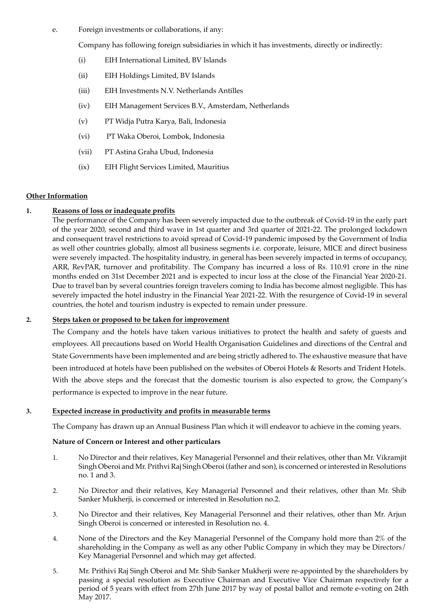e. Foreign investments or collaborations, if any:

Company has following foreign subsidiaries in which it has investments, directly or indirectly:

- (i) EIH International Limited, BV Islands
- (ii) EIH Holdings Limited, BV Islands
- (iii) EIH Investments N.V. Netherlands Antilles
- (iv) EIH Management Services B.V., Amsterdam, Netherlands
- (v) PT Widja Putra Karya, Bali, Indonesia
- (vi) PT Waka Oberoi, Lombok, Indonesia
- (vii) PT Astina Graha Ubud, Indonesia
- (ix) EIH Flight Services Limited, Mauritius

#### **Other Information**

#### **1. Reasons of loss or inadequate profits**

The performance of the Company has been severely impacted due to the outbreak of Covid-19 in the early part of the year 2020, second and third wave in 1st quarter and 3rd quarter of 2021-22. The prolonged lockdown and consequent travel restrictions to avoid spread of Covid-19 pandemic imposed by the Government of India as well other countries globally, almost all business segments i.e. corporate, leisure, MICE and direct business were severely impacted. The hospitality industry, in general has been severely impacted in terms of occupancy, ARR, RevPAR, turnover and profitability. The Company has incurred a loss of Rs. 110.91 crore in the nine months ended on 31st December 2021 and is expected to incur loss at the close of the Financial Year 2020-21. Due to travel ban by several countries foreign travelers coming to India has become almost negligible. This has severely impacted the hotel industry in the Financial Year 2021-22. With the resurgence of Covid-19 in several countries, the hotel and tourism industry is expected to remain under pressure.

#### **2. Steps taken or proposed to be taken for improvement**

The Company and the hotels have taken various initiatives to protect the health and safety of guests and employees. All precautions based on World Health Organisation Guidelines and directions of the Central and State Governments have been implemented and are being strictly adhered to. The exhaustive measure that have been introduced at hotels have been published on the websites of Oberoi Hotels & Resorts and Trident Hotels. With the above steps and the forecast that the domestic tourism is also expected to grow, the Company's performance is expected to improve in the near future.

#### **3. Expected increase in productivity and profits in measurable terms**

The Company has drawn up an Annual Business Plan which it will endeavor to achieve in the coming years.

#### **Nature of Concern or Interest and other particulars**

- 1. No Director and their relatives, Key Managerial Personnel and their relatives, other than Mr. Vikramjit Singh Oberoi and Mr. Prithvi Raj Singh Oberoi (father and son), is concerned or interested in Resolutions no. 1 and 3.
- 2. No Director and their relatives, Key Managerial Personnel and their relatives, other than Mr. Shib Sanker Mukherji, is concerned or interested in Resolution no.2.
- 3. No Director and their relatives, Key Managerial Personnel and their relatives, other than Mr. Arjun Singh Oberoi is concerned or interested in Resolution no. 4.
- 4. None of the Directors and the Key Managerial Personnel of the Company hold more than 2% of the shareholding in the Company as well as any other Public Company in which they may be Directors/ Key Managerial Personnel and which may get affected.
- 5. Mr. Prithivi Raj Singh Oberoi and Mr. Shib Sanker Mukherji were re-appointed by the shareholders by passing a special resolution as Executive Chairman and Executive Vice Chairman respectively for a period of 5 years with effect from 27th June 2017 by way of postal ballot and remote e-voting on 24th May 2017.